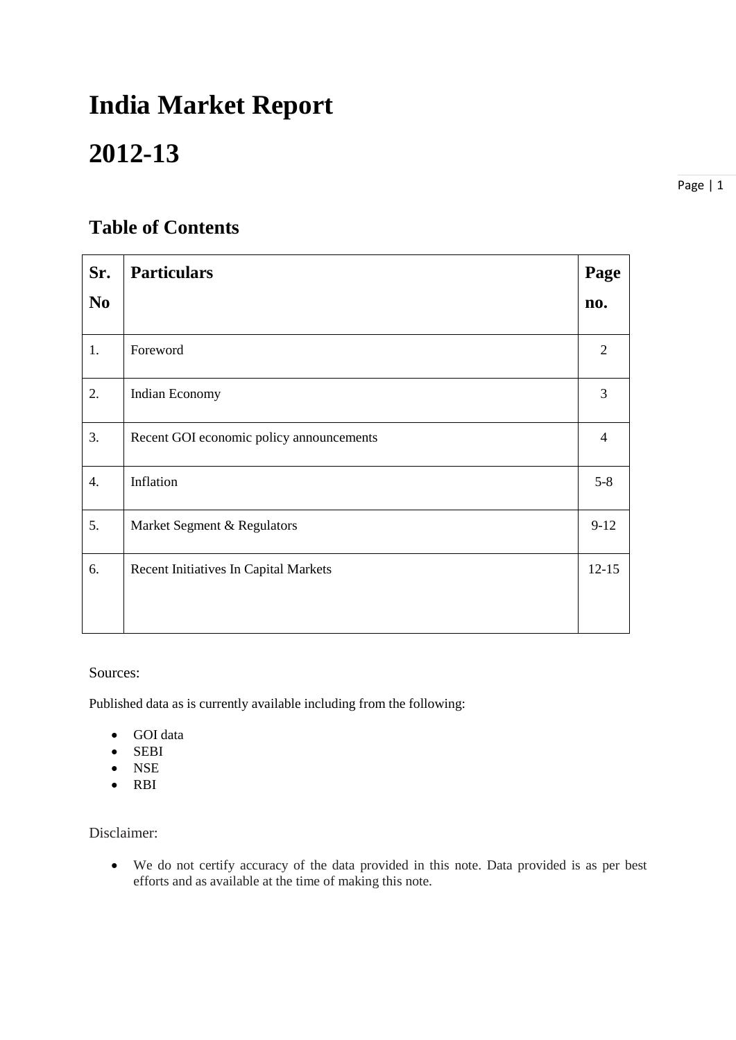# **India Market Report**

## **2012-13**

Page | 1

## **Table of Contents**

| Sr. | <b>Particulars</b>                       | Page      |
|-----|------------------------------------------|-----------|
| No. |                                          | no.       |
| 1.  | Foreword                                 | 2         |
| 2.  | Indian Economy                           | 3         |
| 3.  | Recent GOI economic policy announcements | 4         |
| 4.  | Inflation                                | $5 - 8$   |
| 5.  | Market Segment & Regulators              | $9-12$    |
| 6.  | Recent Initiatives In Capital Markets    | $12 - 15$ |
|     |                                          |           |

## Sources:

Published data as is currently available including from the following:

- GOI data
- SEBI
- NSE
- RBI

Disclaimer:

• We do not certify accuracy of the data provided in this note. Data provided is as per best efforts and as available at the time of making this note.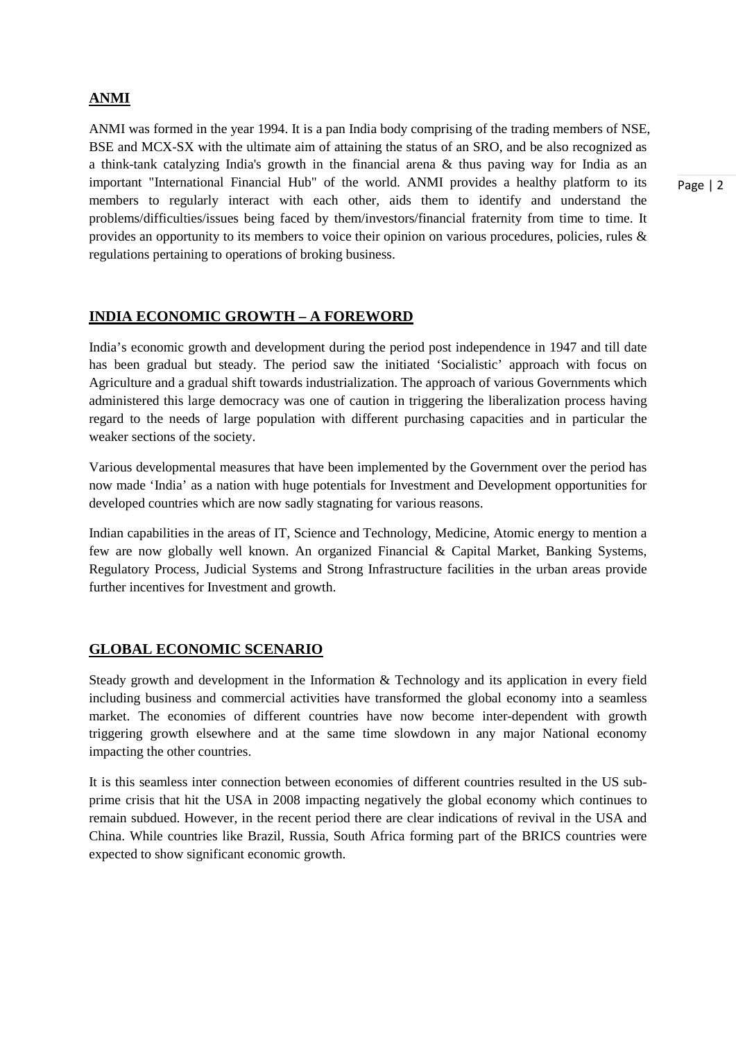## **ANMI**

ANMI was formed in the year 1994. It is a pan India body comprising of the trading members of NSE, BSE and MCX-SX with the ultimate aim of attaining the status of an SRO, and be also recognized as a think-tank catalyzing India's growth in the financial arena & thus paving way for India as an important "International Financial Hub" of the world. ANMI provides a healthy platform to its members to regularly interact with each other, aids them to identify and understand the problems/difficulties/issues being faced by them/investors/financial fraternity from time to time. It provides an opportunity to its members to voice their opinion on various procedures, policies, rules & regulations pertaining to operations of broking business.

## **INDIA ECONOMIC GROWTH – A FOREWORD**

India's economic growth and development during the period post independence in 1947 and till date has been gradual but steady. The period saw the initiated 'Socialistic' approach with focus on Agriculture and a gradual shift towards industrialization. The approach of various Governments which administered this large democracy was one of caution in triggering the liberalization process having regard to the needs of large population with different purchasing capacities and in particular the weaker sections of the society.

Various developmental measures that have been implemented by the Government over the period has now made 'India' as a nation with huge potentials for Investment and Development opportunities for developed countries which are now sadly stagnating for various reasons.

Indian capabilities in the areas of IT, Science and Technology, Medicine, Atomic energy to mention a few are now globally well known. An organized Financial & Capital Market, Banking Systems, Regulatory Process, Judicial Systems and Strong Infrastructure facilities in the urban areas provide further incentives for Investment and growth.

## **GLOBAL ECONOMIC SCENARIO**

Steady growth and development in the Information & Technology and its application in every field including business and commercial activities have transformed the global economy into a seamless market. The economies of different countries have now become inter-dependent with growth triggering growth elsewhere and at the same time slowdown in any major National economy impacting the other countries.

It is this seamless inter connection between economies of different countries resulted in the US subprime crisis that hit the USA in 2008 impacting negatively the global economy which continues to remain subdued. However, in the recent period there are clear indications of revival in the USA and China. While countries like Brazil, Russia, South Africa forming part of the BRICS countries were expected to show significant economic growth.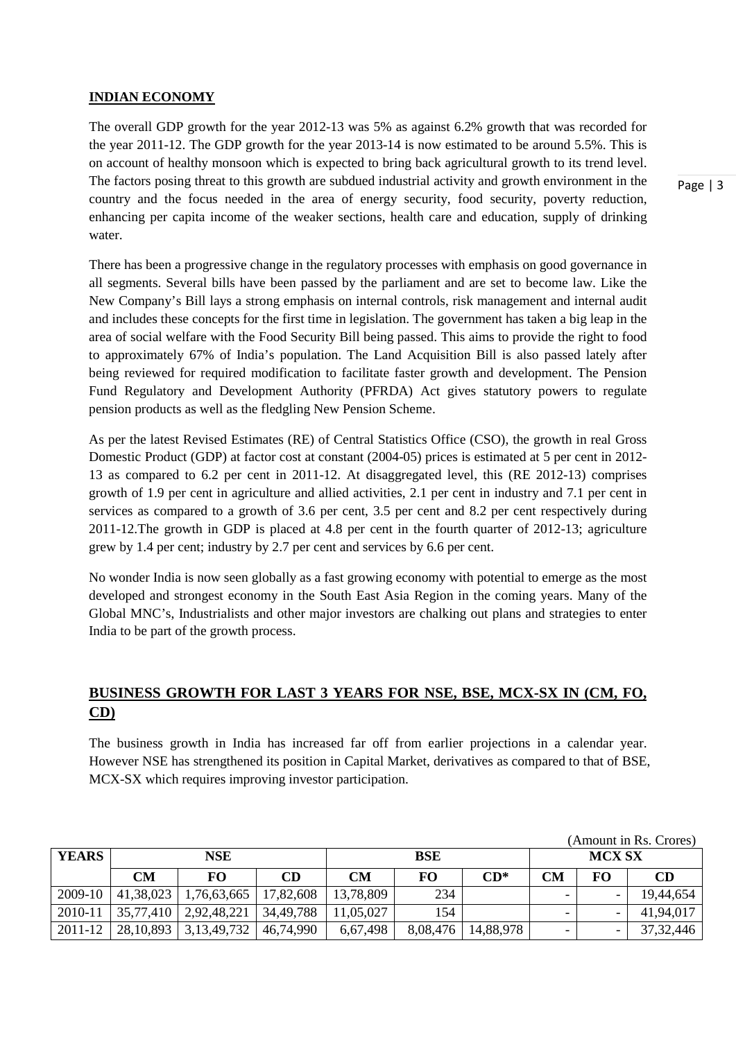#### **INDIAN ECONOMY**

The overall GDP growth for the year 2012-13 was 5% as against 6.2% growth that was recorded for the year 2011-12. The GDP growth for the year 2013-14 is now estimated to be around 5.5%. This is on account of healthy monsoon which is expected to bring back agricultural growth to its trend level. The factors posing threat to this growth are subdued industrial activity and growth environment in the country and the focus needed in the area of energy security, food security, poverty reduction, enhancing per capita income of the weaker sections, health care and education, supply of drinking water.

There has been a progressive change in the regulatory processes with emphasis on good governance in all segments. Several bills have been passed by the parliament and are set to become law. Like the New Company's Bill lays a strong emphasis on internal controls, risk management and internal audit and includes these concepts for the first time in legislation. The government has taken a big leap in the area of social welfare with the Food Security Bill being passed. This aims to provide the right to food to approximately 67% of India's population. The Land Acquisition Bill is also passed lately after being reviewed for required modification to facilitate faster growth and development. The Pension Fund Regulatory and Development Authority (PFRDA) Act gives statutory powers to regulate pension products as well as the fledgling New Pension Scheme.

As per the latest Revised Estimates (RE) of Central Statistics Office (CSO), the growth in real Gross Domestic Product (GDP) at factor cost at constant (2004-05) prices is estimated at 5 per cent in 2012- 13 as compared to 6.2 per cent in 2011-12. At disaggregated level, this (RE 2012-13) comprises growth of 1.9 per cent in agriculture and allied activities, 2.1 per cent in industry and 7.1 per cent in services as compared to a growth of 3.6 per cent, 3.5 per cent and 8.2 per cent respectively during 2011-12.The growth in GDP is placed at 4.8 per cent in the fourth quarter of 2012-13; agriculture grew by 1.4 per cent; industry by 2.7 per cent and services by 6.6 per cent.

No wonder India is now seen globally as a fast growing economy with potential to emerge as the most developed and strongest economy in the South East Asia Region in the coming years. Many of the Global MNC's, Industrialists and other major investors are chalking out plans and strategies to enter India to be part of the growth process.

## **BUSINESS GROWTH FOR LAST 3 YEARS FOR NSE, BSE, MCX-SX IN (CM, FO, CD)**

The business growth in India has increased far off from earlier projections in a calendar year. However NSE has strengthened its position in Capital Market, derivatives as compared to that of BSE, MCX-SX which requires improving investor participation.

| (Amount in Rs. Crores) |             |                |           |            |          |           |    |               |             |  |
|------------------------|-------------|----------------|-----------|------------|----------|-----------|----|---------------|-------------|--|
| <b>YEARS</b>           | <b>NSE</b>  |                |           | <b>BSE</b> |          |           |    | <b>MCX SX</b> |             |  |
|                        | <b>CM</b>   | <b>FO</b>      | CD        | CМ         | FO.      | $CD^*$    | CM | FO            | CD          |  |
| 2009-10                | 41,38,023   | 1,76,63,665    | 17,82,608 | 13,78,809  | 234      |           |    |               | 19,44,654   |  |
| 2010-11                | 35,77,410   | 2,92,48,221    | 34.49.788 | 11,05,027  | 154      |           |    |               | 41,94,017   |  |
| 2011-12                | 28, 10, 893 | 3, 13, 49, 732 | 46,74,990 | 6,67,498   | 8,08,476 | 14,88,978 | -  |               | 37, 32, 446 |  |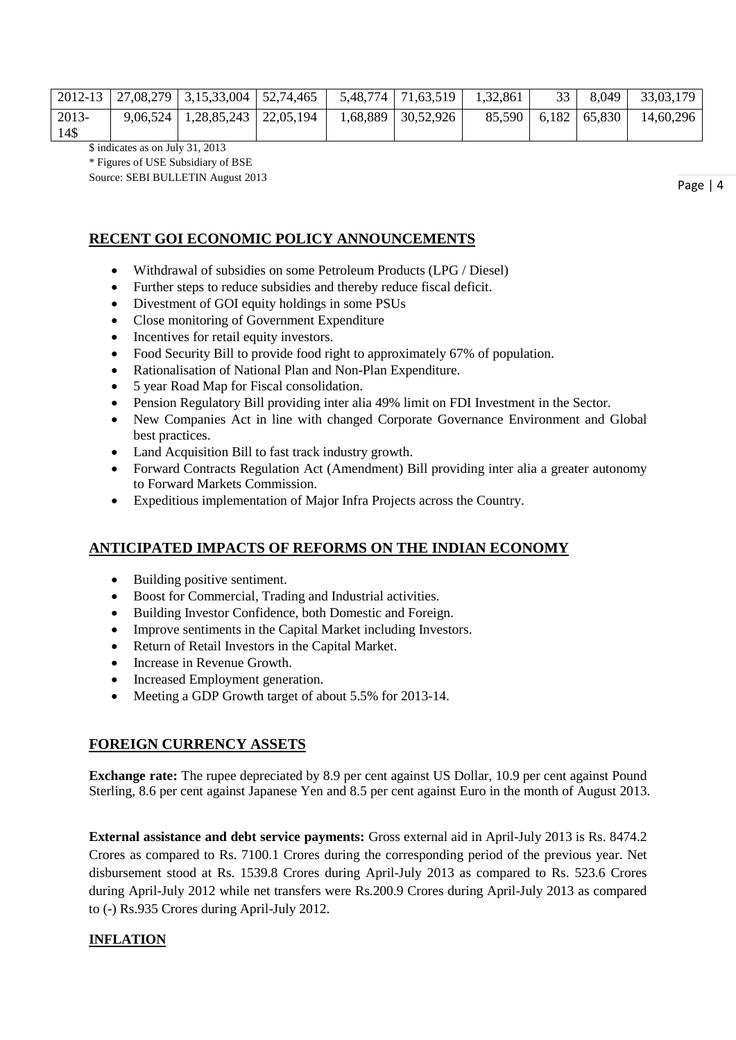|                 | 2012-13   27,08,279   3,15,33,004   52,74,465 |  | $5,48,774$   $71,63,519$ | 1,32,861 | 33 <sup>1</sup> | 8,049                           | 33,03,179 |
|-----------------|-----------------------------------------------|--|--------------------------|----------|-----------------|---------------------------------|-----------|
| $2013-$<br>14\$ | $9,06,524$   1,28,85,243   22,05,194          |  | 1,68,889 30,52,926       |          |                 | $85,590 \mid 6,182 \mid 65,830$ | 14,60,296 |

\$ indicates as on July 31, 2013

\* Figures of USE Subsidiary of BSE

Source: SEBI BULLETIN August 2013

## **RECENT GOI ECONOMIC POLICY ANNOUNCEMENTS**

- Withdrawal of subsidies on some Petroleum Products (LPG / Diesel)
- Further steps to reduce subsidies and thereby reduce fiscal deficit.
- Divestment of GOI equity holdings in some PSUs
- Close monitoring of Government Expenditure
- Incentives for retail equity investors.
- Food Security Bill to provide food right to approximately 67% of population.
- Rationalisation of National Plan and Non-Plan Expenditure.
- 5 year Road Map for Fiscal consolidation.
- Pension Regulatory Bill providing inter alia 49% limit on FDI Investment in the Sector.
- New Companies Act in line with changed Corporate Governance Environment and Global best practices.
- Land Acquisition Bill to fast track industry growth.
- Forward Contracts Regulation Act (Amendment) Bill providing inter alia a greater autonomy to Forward Markets Commission.
- Expeditious implementation of Major Infra Projects across the Country.

## **ANTICIPATED IMPACTS OF REFORMS ON THE INDIAN ECONOMY**

- Building positive sentiment.
- Boost for Commercial, Trading and Industrial activities.
- Building Investor Confidence, both Domestic and Foreign.
- Improve sentiments in the Capital Market including Investors.
- Return of Retail Investors in the Capital Market.
- Increase in Revenue Growth.
- Increased Employment generation.
- Meeting a GDP Growth target of about 5.5% for 2013-14.

## **FOREIGN CURRENCY ASSETS**

**Exchange rate:** The rupee depreciated by 8.9 per cent against US Dollar, 10.9 per cent against Pound Sterling, 8.6 per cent against Japanese Yen and 8.5 per cent against Euro in the month of August 2013.

**External assistance and debt service payments:** Gross external aid in April-July 2013 is Rs. 8474.2 Crores as compared to Rs. 7100.1 Crores during the corresponding period of the previous year. Net disbursement stood at Rs. 1539.8 Crores during April-July 2013 as compared to Rs. 523.6 Crores during April-July 2012 while net transfers were Rs.200.9 Crores during April-July 2013 as compared to (-) Rs.935 Crores during April-July 2012.

## **INFLATION**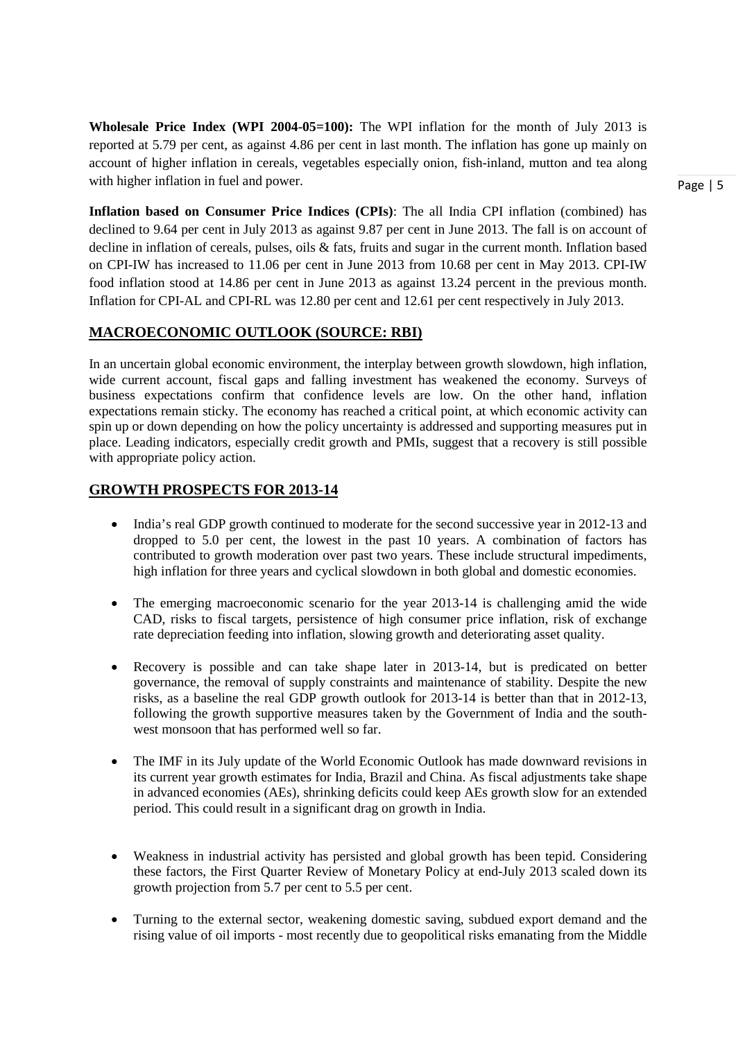**Wholesale Price Index (WPI 2004-05=100):** The WPI inflation for the month of July 2013 is reported at 5.79 per cent, as against 4.86 per cent in last month. The inflation has gone up mainly on account of higher inflation in cereals, vegetables especially onion, fish-inland, mutton and tea along with higher inflation in fuel and power.

**Inflation based on Consumer Price Indices (CPIs)**: The all India CPI inflation (combined) has declined to 9.64 per cent in July 2013 as against 9.87 per cent in June 2013. The fall is on account of decline in inflation of cereals, pulses, oils & fats, fruits and sugar in the current month. Inflation based on CPI-IW has increased to 11.06 per cent in June 2013 from 10.68 per cent in May 2013. CPI-IW food inflation stood at 14.86 per cent in June 2013 as against 13.24 percent in the previous month. Inflation for CPI-AL and CPI-RL was 12.80 per cent and 12.61 per cent respectively in July 2013.

## **MACROECONOMIC OUTLOOK (SOURCE: RBI)**

In an uncertain global economic environment, the interplay between growth slowdown, high inflation, wide current account, fiscal gaps and falling investment has weakened the economy. Surveys of business expectations confirm that confidence levels are low. On the other hand, inflation expectations remain sticky. The economy has reached a critical point, at which economic activity can spin up or down depending on how the policy uncertainty is addressed and supporting measures put in place. Leading indicators, especially credit growth and PMIs, suggest that a recovery is still possible with appropriate policy action.

#### **GROWTH PROSPECTS FOR 2013-14**

- India's real GDP growth continued to moderate for the second successive year in 2012-13 and dropped to 5.0 per cent, the lowest in the past 10 years. A combination of factors has contributed to growth moderation over past two years. These include structural impediments, high inflation for three years and cyclical slowdown in both global and domestic economies.
- The emerging macroeconomic scenario for the year 2013-14 is challenging amid the wide CAD, risks to fiscal targets, persistence of high consumer price inflation, risk of exchange rate depreciation feeding into inflation, slowing growth and deteriorating asset quality.
- Recovery is possible and can take shape later in 2013-14, but is predicated on better governance, the removal of supply constraints and maintenance of stability. Despite the new risks, as a baseline the real GDP growth outlook for 2013-14 is better than that in 2012-13, following the growth supportive measures taken by the Government of India and the southwest monsoon that has performed well so far.
- The IMF in its July update of the World Economic Outlook has made downward revisions in its current year growth estimates for India, Brazil and China. As fiscal adjustments take shape in advanced economies (AEs), shrinking deficits could keep AEs growth slow for an extended period. This could result in a significant drag on growth in India.
- Weakness in industrial activity has persisted and global growth has been tepid. Considering these factors, the First Quarter Review of Monetary Policy at end-July 2013 scaled down its growth projection from 5.7 per cent to 5.5 per cent.
- Turning to the external sector, weakening domestic saving, subdued export demand and the rising value of oil imports - most recently due to geopolitical risks emanating from the Middle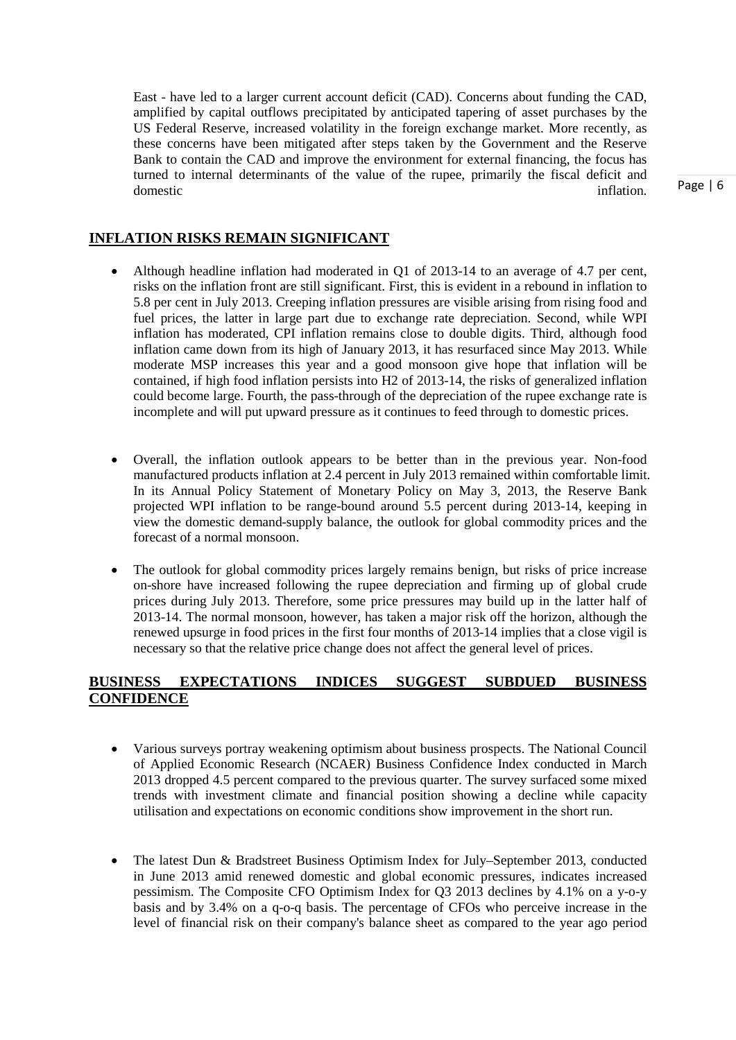East - have led to a larger current account deficit (CAD). Concerns about funding the CAD, amplified by capital outflows precipitated by anticipated tapering of asset purchases by the US Federal Reserve, increased volatility in the foreign exchange market. More recently, as these concerns have been mitigated after steps taken by the Government and the Reserve Bank to contain the CAD and improve the environment for external financing, the focus has turned to internal determinants of the value of the rupee, primarily the fiscal deficit and domestic inflation.

## **INFLATION RISKS REMAIN SIGNIFICANT**

- Although headline inflation had moderated in O1 of 2013-14 to an average of 4.7 per cent, risks on the inflation front are still significant. First, this is evident in a rebound in inflation to 5.8 per cent in July 2013. Creeping inflation pressures are visible arising from rising food and fuel prices, the latter in large part due to exchange rate depreciation. Second, while WPI inflation has moderated, CPI inflation remains close to double digits. Third, although food inflation came down from its high of January 2013, it has resurfaced since May 2013. While moderate MSP increases this year and a good monsoon give hope that inflation will be contained, if high food inflation persists into H2 of 2013-14, the risks of generalized inflation could become large. Fourth, the pass-through of the depreciation of the rupee exchange rate is incomplete and will put upward pressure as it continues to feed through to domestic prices.
- Overall, the inflation outlook appears to be better than in the previous year. Non-food manufactured products inflation at 2.4 percent in July 2013 remained within comfortable limit. In its Annual Policy Statement of Monetary Policy on May 3, 2013, the Reserve Bank projected WPI inflation to be range-bound around 5.5 percent during 2013-14, keeping in view the domestic demand-supply balance, the outlook for global commodity prices and the forecast of a normal monsoon.
- The outlook for global commodity prices largely remains benign, but risks of price increase on-shore have increased following the rupee depreciation and firming up of global crude prices during July 2013. Therefore, some price pressures may build up in the latter half of 2013-14. The normal monsoon, however, has taken a major risk off the horizon, although the renewed upsurge in food prices in the first four months of 2013-14 implies that a close vigil is necessary so that the relative price change does not affect the general level of prices.

## **BUSINESS EXPECTATIONS INDICES SUGGEST SUBDUED BUSINESS CONFIDENCE**

- Various surveys portray weakening optimism about business prospects. The National Council of Applied Economic Research (NCAER) Business Confidence Index conducted in March 2013 dropped 4.5 percent compared to the previous quarter. The survey surfaced some mixed trends with investment climate and financial position showing a decline while capacity utilisation and expectations on economic conditions show improvement in the short run.
- The latest Dun & Bradstreet Business Optimism Index for July–September 2013, conducted in June 2013 amid renewed domestic and global economic pressures, indicates increased pessimism. The Composite CFO Optimism Index for Q3 2013 declines by 4.1% on a y-o-y basis and by 3.4% on a q-o-q basis. The percentage of CFOs who perceive increase in the level of financial risk on their company's balance sheet as compared to the year ago period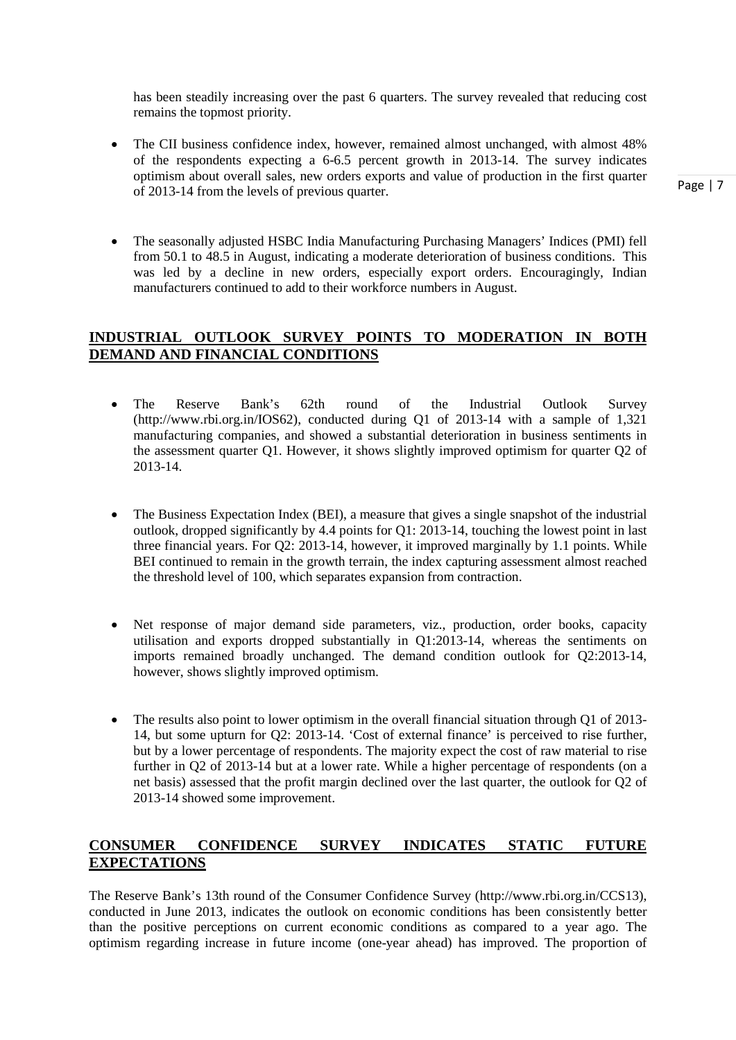has been steadily increasing over the past 6 quarters. The survey revealed that reducing cost remains the topmost priority.

- The CII business confidence index, however, remained almost unchanged, with almost 48% of the respondents expecting a 6-6.5 percent growth in 2013-14. The survey indicates optimism about overall sales, new orders exports and value of production in the first quarter of 2013-14 from the levels of previous quarter.
- The seasonally adjusted HSBC India Manufacturing Purchasing Managers' Indices (PMI) fell from 50.1 to 48.5 in August, indicating a moderate deterioration of business conditions. This was led by a decline in new orders, especially export orders. Encouragingly, Indian manufacturers continued to add to their workforce numbers in August.

## **INDUSTRIAL OUTLOOK SURVEY POINTS TO MODERATION IN BOTH DEMAND AND FINANCIAL CONDITIONS**

- The Reserve Bank's 62th round of the Industrial Outlook Survey (http://www.rbi.org.in/IOS62), conducted during Q1 of 2013-14 with a sample of 1,321 manufacturing companies, and showed a substantial deterioration in business sentiments in the assessment quarter Q1. However, it shows slightly improved optimism for quarter Q2 of 2013-14.
- The Business Expectation Index (BEI), a measure that gives a single snapshot of the industrial outlook, dropped significantly by 4.4 points for Q1: 2013-14, touching the lowest point in last three financial years. For Q2: 2013-14, however, it improved marginally by 1.1 points. While BEI continued to remain in the growth terrain, the index capturing assessment almost reached the threshold level of 100, which separates expansion from contraction.
- Net response of major demand side parameters, viz., production, order books, capacity utilisation and exports dropped substantially in Q1:2013-14, whereas the sentiments on imports remained broadly unchanged. The demand condition outlook for Q2:2013-14, however, shows slightly improved optimism.
- The results also point to lower optimism in the overall financial situation through Q1 of 2013-14, but some upturn for Q2: 2013-14. 'Cost of external finance' is perceived to rise further, but by a lower percentage of respondents. The majority expect the cost of raw material to rise further in Q2 of 2013-14 but at a lower rate. While a higher percentage of respondents (on a net basis) assessed that the profit margin declined over the last quarter, the outlook for Q2 of 2013-14 showed some improvement.

## **CONSUMER CONFIDENCE SURVEY INDICATES STATIC FUTURE EXPECTATIONS**

The Reserve Bank's 13th round of the Consumer Confidence Survey (http://www.rbi.org.in/CCS13), conducted in June 2013, indicates the outlook on economic conditions has been consistently better than the positive perceptions on current economic conditions as compared to a year ago. The optimism regarding increase in future income (one-year ahead) has improved. The proportion of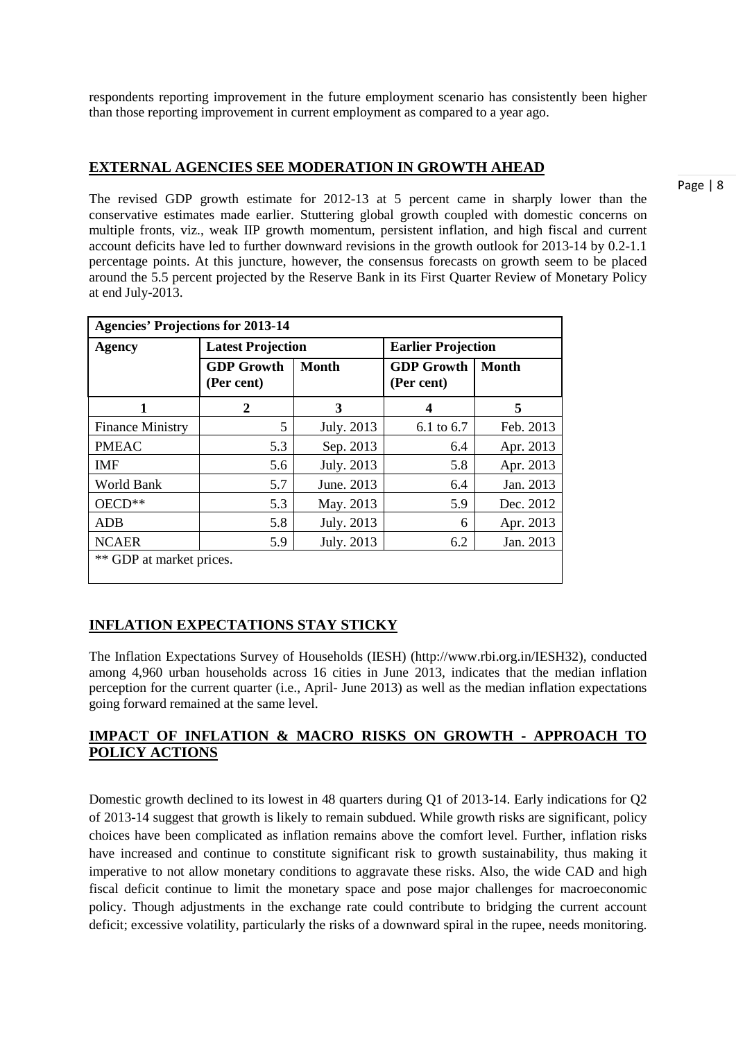respondents reporting improvement in the future employment scenario has consistently been higher than those reporting improvement in current employment as compared to a year ago.

#### **EXTERNAL AGENCIES SEE MODERATION IN GROWTH AHEAD**

The revised GDP growth estimate for 2012-13 at 5 percent came in sharply lower than the conservative estimates made earlier. Stuttering global growth coupled with domestic concerns on multiple fronts, viz., weak IIP growth momentum, persistent inflation, and high fiscal and current account deficits have led to further downward revisions in the growth outlook for 2013-14 by 0.2-1.1 percentage points. At this juncture, however, the consensus forecasts on growth seem to be placed around the 5.5 percent projected by the Reserve Bank in its First Quarter Review of Monetary Policy at end July-2013.

| <b>Agencies' Projections for 2013-14</b> |                                                 |            |                                 |              |  |  |  |  |  |
|------------------------------------------|-------------------------------------------------|------------|---------------------------------|--------------|--|--|--|--|--|
| <b>Agency</b>                            | <b>Latest Projection</b>                        |            | <b>Earlier Projection</b>       |              |  |  |  |  |  |
|                                          | <b>Month</b><br><b>GDP Growth</b><br>(Per cent) |            | <b>GDP Growth</b><br>(Per cent) | <b>Month</b> |  |  |  |  |  |
| 1                                        | 2                                               | 3          | 4                               | 5            |  |  |  |  |  |
| <b>Finance Ministry</b>                  | 5                                               | July. 2013 | 6.1 to 6.7                      | Feb. 2013    |  |  |  |  |  |
| <b>PMEAC</b>                             | 5.3                                             | Sep. 2013  | 6.4                             | Apr. 2013    |  |  |  |  |  |
| <b>IMF</b>                               | 5.6                                             | July. 2013 | 5.8                             | Apr. 2013    |  |  |  |  |  |
| World Bank                               | 5.7                                             | June. 2013 | 6.4                             | Jan. 2013    |  |  |  |  |  |
| $OECD**$                                 | 5.3                                             | May. 2013  | 5.9                             | Dec. 2012    |  |  |  |  |  |
| <b>ADB</b>                               | 5.8                                             | July. 2013 | 6                               | Apr. 2013    |  |  |  |  |  |
| <b>NCAER</b>                             | 5.9                                             | July. 2013 | 6.2                             | Jan. 2013    |  |  |  |  |  |
| ** GDP at market prices.                 |                                                 |            |                                 |              |  |  |  |  |  |

## **INFLATION EXPECTATIONS STAY STICKY**

The Inflation Expectations Survey of Households (IESH) (http://www.rbi.org.in/IESH32), conducted among 4,960 urban households across 16 cities in June 2013, indicates that the median inflation perception for the current quarter (i.e., April- June 2013) as well as the median inflation expectations going forward remained at the same level.

## **IMPACT OF INFLATION & MACRO RISKS ON GROWTH - APPROACH TO POLICY ACTIONS**

Domestic growth declined to its lowest in 48 quarters during Q1 of 2013-14. Early indications for Q2 of 2013-14 suggest that growth is likely to remain subdued. While growth risks are significant, policy choices have been complicated as inflation remains above the comfort level. Further, inflation risks have increased and continue to constitute significant risk to growth sustainability, thus making it imperative to not allow monetary conditions to aggravate these risks. Also, the wide CAD and high fiscal deficit continue to limit the monetary space and pose major challenges for macroeconomic policy. Though adjustments in the exchange rate could contribute to bridging the current account deficit; excessive volatility, particularly the risks of a downward spiral in the rupee, needs monitoring.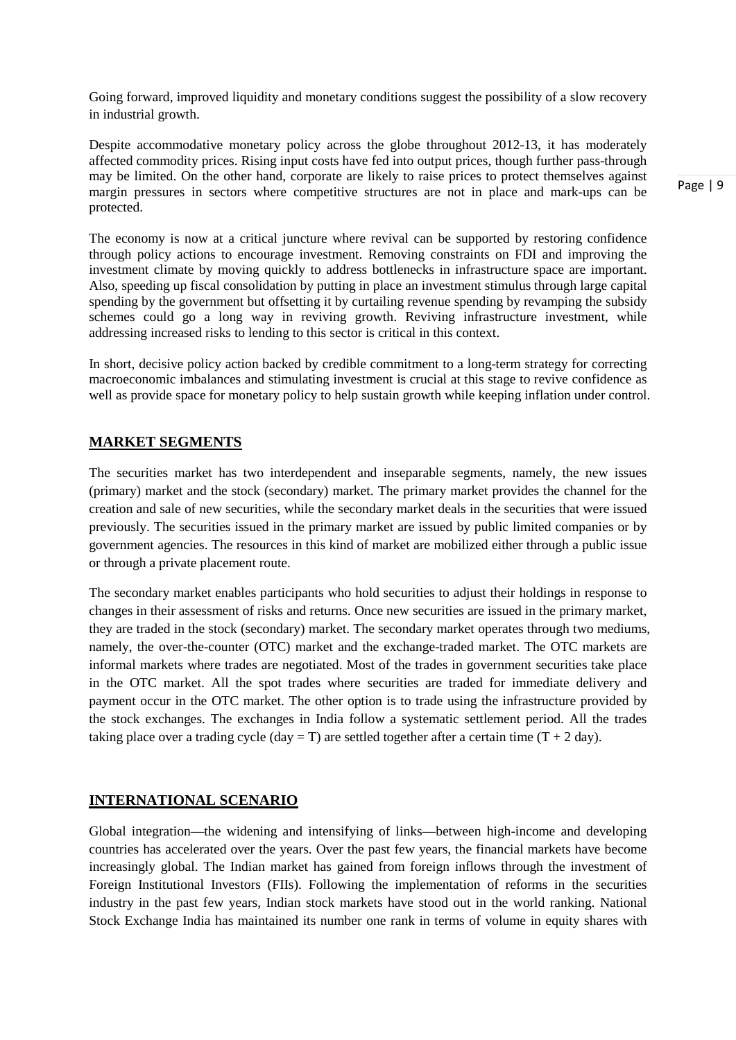Going forward, improved liquidity and monetary conditions suggest the possibility of a slow recovery in industrial growth.

Despite accommodative monetary policy across the globe throughout 2012-13, it has moderately affected commodity prices. Rising input costs have fed into output prices, though further pass-through may be limited. On the other hand, corporate are likely to raise prices to protect themselves against margin pressures in sectors where competitive structures are not in place and mark-ups can be protected.

The economy is now at a critical juncture where revival can be supported by restoring confidence through policy actions to encourage investment. Removing constraints on FDI and improving the investment climate by moving quickly to address bottlenecks in infrastructure space are important. Also, speeding up fiscal consolidation by putting in place an investment stimulus through large capital spending by the government but offsetting it by curtailing revenue spending by revamping the subsidy schemes could go a long way in reviving growth. Reviving infrastructure investment, while addressing increased risks to lending to this sector is critical in this context.

In short, decisive policy action backed by credible commitment to a long-term strategy for correcting macroeconomic imbalances and stimulating investment is crucial at this stage to revive confidence as well as provide space for monetary policy to help sustain growth while keeping inflation under control.

#### **MARKET SEGMENTS**

The securities market has two interdependent and inseparable segments, namely, the new issues (primary) market and the stock (secondary) market. The primary market provides the channel for the creation and sale of new securities, while the secondary market deals in the securities that were issued previously. The securities issued in the primary market are issued by public limited companies or by government agencies. The resources in this kind of market are mobilized either through a public issue or through a private placement route.

The secondary market enables participants who hold securities to adjust their holdings in response to changes in their assessment of risks and returns. Once new securities are issued in the primary market, they are traded in the stock (secondary) market. The secondary market operates through two mediums, namely, the over-the-counter (OTC) market and the exchange-traded market. The OTC markets are informal markets where trades are negotiated. Most of the trades in government securities take place in the OTC market. All the spot trades where securities are traded for immediate delivery and payment occur in the OTC market. The other option is to trade using the infrastructure provided by the stock exchanges. The exchanges in India follow a systematic settlement period. All the trades taking place over a trading cycle (day = T) are settled together after a certain time  $(T + 2 \text{ day})$ .

#### **INTERNATIONAL SCENARIO**

Global integration—the widening and intensifying of links—between high-income and developing countries has accelerated over the years. Over the past few years, the financial markets have become increasingly global. The Indian market has gained from foreign inflows through the investment of Foreign Institutional Investors (FIIs). Following the implementation of reforms in the securities industry in the past few years, Indian stock markets have stood out in the world ranking. National Stock Exchange India has maintained its number one rank in terms of volume in equity shares with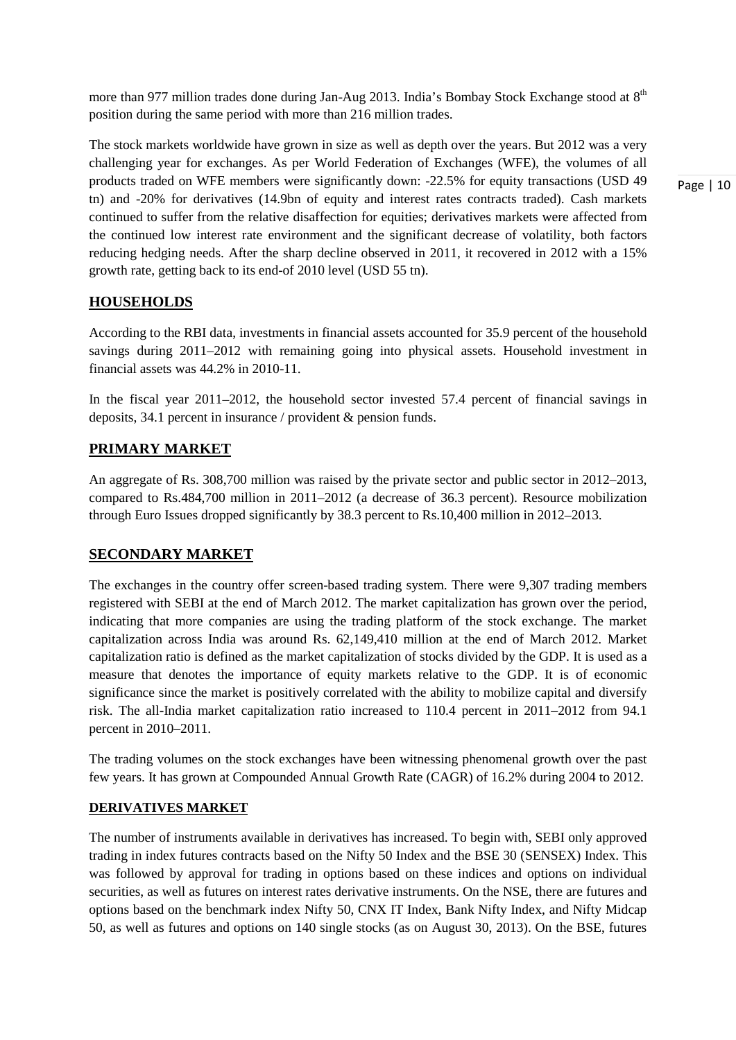more than 977 million trades done during Jan-Aug 2013. India's Bombay Stock Exchange stood at 8<sup>th</sup> position during the same period with more than 216 million trades.

The stock markets worldwide have grown in size as well as depth over the years. But 2012 was a very challenging year for exchanges. As per World Federation of Exchanges (WFE), the volumes of all products traded on WFE members were significantly down: -22.5% for equity transactions (USD 49 tn) and -20% for derivatives (14.9bn of equity and interest rates contracts traded). Cash markets continued to suffer from the relative disaffection for equities; derivatives markets were affected from the continued low interest rate environment and the significant decrease of volatility, both factors reducing hedging needs. After the sharp decline observed in 2011, it recovered in 2012 with a 15% growth rate, getting back to its end-of 2010 level (USD 55 tn).

## **HOUSEHOLDS**

According to the RBI data, investments in financial assets accounted for 35.9 percent of the household savings during 2011–2012 with remaining going into physical assets. Household investment in financial assets was 44.2% in 2010-11.

In the fiscal year 2011–2012, the household sector invested 57.4 percent of financial savings in deposits, 34.1 percent in insurance / provident & pension funds.

## **PRIMARY MARKET**

An aggregate of Rs. 308,700 million was raised by the private sector and public sector in 2012–2013, compared to Rs.484,700 million in 2011–2012 (a decrease of 36.3 percent). Resource mobilization through Euro Issues dropped significantly by 38.3 percent to Rs.10,400 million in 2012–2013.

## **SECONDARY MARKET**

The exchanges in the country offer screen-based trading system. There were 9,307 trading members registered with SEBI at the end of March 2012. The market capitalization has grown over the period, indicating that more companies are using the trading platform of the stock exchange. The market capitalization across India was around Rs. 62,149,410 million at the end of March 2012. Market capitalization ratio is defined as the market capitalization of stocks divided by the GDP. It is used as a measure that denotes the importance of equity markets relative to the GDP. It is of economic significance since the market is positively correlated with the ability to mobilize capital and diversify risk. The all-India market capitalization ratio increased to 110.4 percent in 2011–2012 from 94.1 percent in 2010–2011.

The trading volumes on the stock exchanges have been witnessing phenomenal growth over the past few years. It has grown at Compounded Annual Growth Rate (CAGR) of 16.2% during 2004 to 2012.

## **DERIVATIVES MARKET**

The number of instruments available in derivatives has increased. To begin with, SEBI only approved trading in index futures contracts based on the Nifty 50 Index and the BSE 30 (SENSEX) Index. This was followed by approval for trading in options based on these indices and options on individual securities, as well as futures on interest rates derivative instruments. On the NSE, there are futures and options based on the benchmark index Nifty 50, CNX IT Index, Bank Nifty Index, and Nifty Midcap 50, as well as futures and options on 140 single stocks (as on August 30, 2013). On the BSE, futures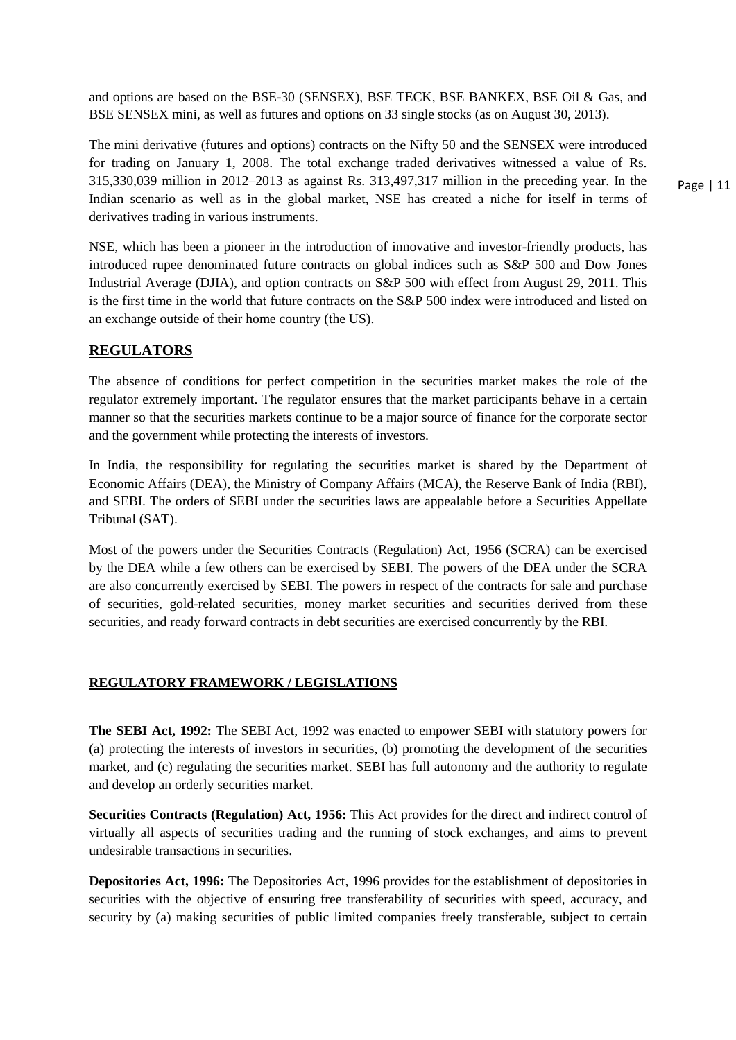and options are based on the BSE-30 (SENSEX), BSE TECK, BSE BANKEX, BSE Oil & Gas, and BSE SENSEX mini, as well as futures and options on 33 single stocks (as on August 30, 2013).

The mini derivative (futures and options) contracts on the Nifty 50 and the SENSEX were introduced for trading on January 1, 2008. The total exchange traded derivatives witnessed a value of Rs. 315,330,039 million in 2012–2013 as against Rs. 313,497,317 million in the preceding year. In the Indian scenario as well as in the global market, NSE has created a niche for itself in terms of derivatives trading in various instruments.

NSE, which has been a pioneer in the introduction of innovative and investor-friendly products, has introduced rupee denominated future contracts on global indices such as S&P 500 and Dow Jones Industrial Average (DJIA), and option contracts on S&P 500 with effect from August 29, 2011. This is the first time in the world that future contracts on the S&P 500 index were introduced and listed on an exchange outside of their home country (the US).

## **REGULATORS**

The absence of conditions for perfect competition in the securities market makes the role of the regulator extremely important. The regulator ensures that the market participants behave in a certain manner so that the securities markets continue to be a major source of finance for the corporate sector and the government while protecting the interests of investors.

In India, the responsibility for regulating the securities market is shared by the Department of Economic Affairs (DEA), the Ministry of Company Affairs (MCA), the Reserve Bank of India (RBI), and SEBI. The orders of SEBI under the securities laws are appealable before a Securities Appellate Tribunal (SAT).

Most of the powers under the Securities Contracts (Regulation) Act, 1956 (SCRA) can be exercised by the DEA while a few others can be exercised by SEBI. The powers of the DEA under the SCRA are also concurrently exercised by SEBI. The powers in respect of the contracts for sale and purchase of securities, gold-related securities, money market securities and securities derived from these securities, and ready forward contracts in debt securities are exercised concurrently by the RBI.

#### **REGULATORY FRAMEWORK / LEGISLATIONS**

**The SEBI Act, 1992:** The SEBI Act, 1992 was enacted to empower SEBI with statutory powers for (a) protecting the interests of investors in securities, (b) promoting the development of the securities market, and (c) regulating the securities market. SEBI has full autonomy and the authority to regulate and develop an orderly securities market.

**Securities Contracts (Regulation) Act, 1956:** This Act provides for the direct and indirect control of virtually all aspects of securities trading and the running of stock exchanges, and aims to prevent undesirable transactions in securities.

**Depositories Act, 1996:** The Depositories Act, 1996 provides for the establishment of depositories in securities with the objective of ensuring free transferability of securities with speed, accuracy, and security by (a) making securities of public limited companies freely transferable, subject to certain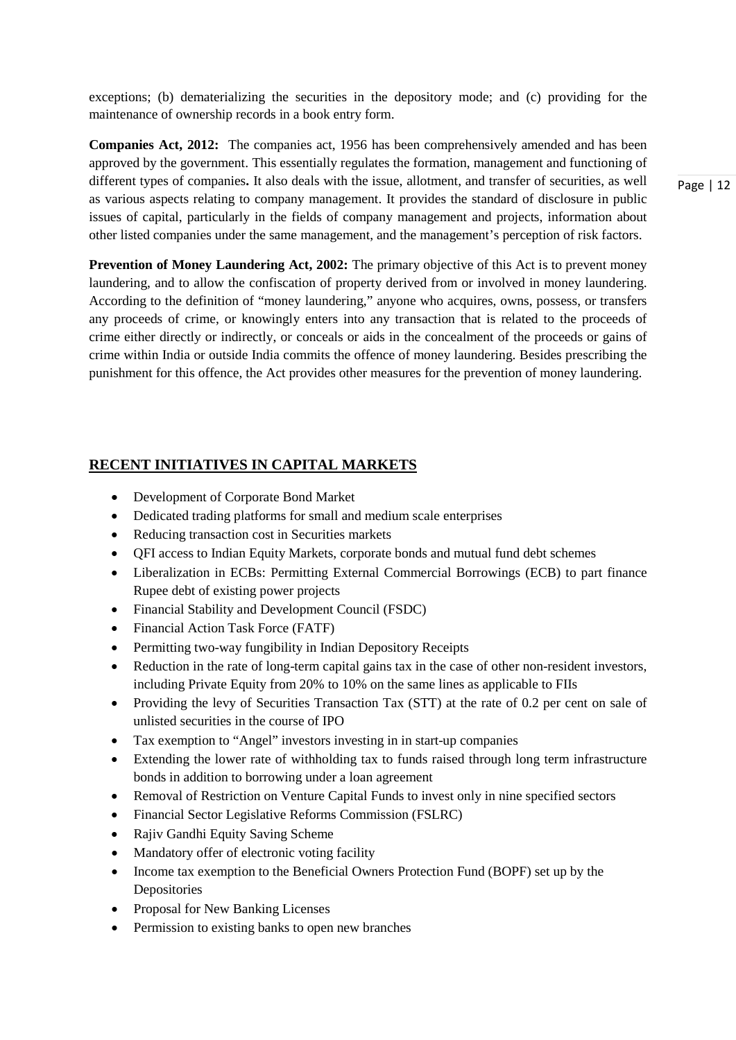exceptions; (b) dematerializing the securities in the depository mode; and (c) providing for the maintenance of ownership records in a book entry form.

**Companies Act, 2012:** The companies act, 1956 has been comprehensively amended and has been approved by the government. This essentially regulates the formation, management and functioning of different types of companies**.** It also deals with the issue, allotment, and transfer of securities, as well as various aspects relating to company management. It provides the standard of disclosure in public issues of capital, particularly in the fields of company management and projects, information about other listed companies under the same management, and the management's perception of risk factors.

**Prevention of Money Laundering Act, 2002:** The primary objective of this Act is to prevent money laundering, and to allow the confiscation of property derived from or involved in money laundering. According to the definition of "money laundering," anyone who acquires, owns, possess, or transfers any proceeds of crime, or knowingly enters into any transaction that is related to the proceeds of crime either directly or indirectly, or conceals or aids in the concealment of the proceeds or gains of crime within India or outside India commits the offence of money laundering. Besides prescribing the punishment for this offence, the Act provides other measures for the prevention of money laundering.

## **RECENT INITIATIVES IN CAPITAL MARKETS**

- Development of Corporate Bond Market
- Dedicated trading platforms for small and medium scale enterprises
- Reducing transaction cost in Securities markets
- QFI access to Indian Equity Markets, corporate bonds and mutual fund debt schemes
- Liberalization in ECBs: Permitting External Commercial Borrowings (ECB) to part finance Rupee debt of existing power projects
- Financial Stability and Development Council (FSDC)
- Financial Action Task Force (FATF)
- Permitting two-way fungibility in Indian Depository Receipts
- Reduction in the rate of long-term capital gains tax in the case of other non-resident investors, including Private Equity from 20% to 10% on the same lines as applicable to FIIs
- Providing the levy of Securities Transaction Tax (STT) at the rate of 0.2 per cent on sale of unlisted securities in the course of IPO
- Tax exemption to "Angel" investors investing in in start-up companies
- Extending the lower rate of withholding tax to funds raised through long term infrastructure bonds in addition to borrowing under a loan agreement
- Removal of Restriction on Venture Capital Funds to invest only in nine specified sectors
- Financial Sector Legislative Reforms Commission (FSLRC)
- Rajiv Gandhi Equity Saving Scheme
- Mandatory offer of electronic voting facility
- Income tax exemption to the Beneficial Owners Protection Fund (BOPF) set up by the Depositories
- Proposal for New Banking Licenses
- Permission to existing banks to open new branches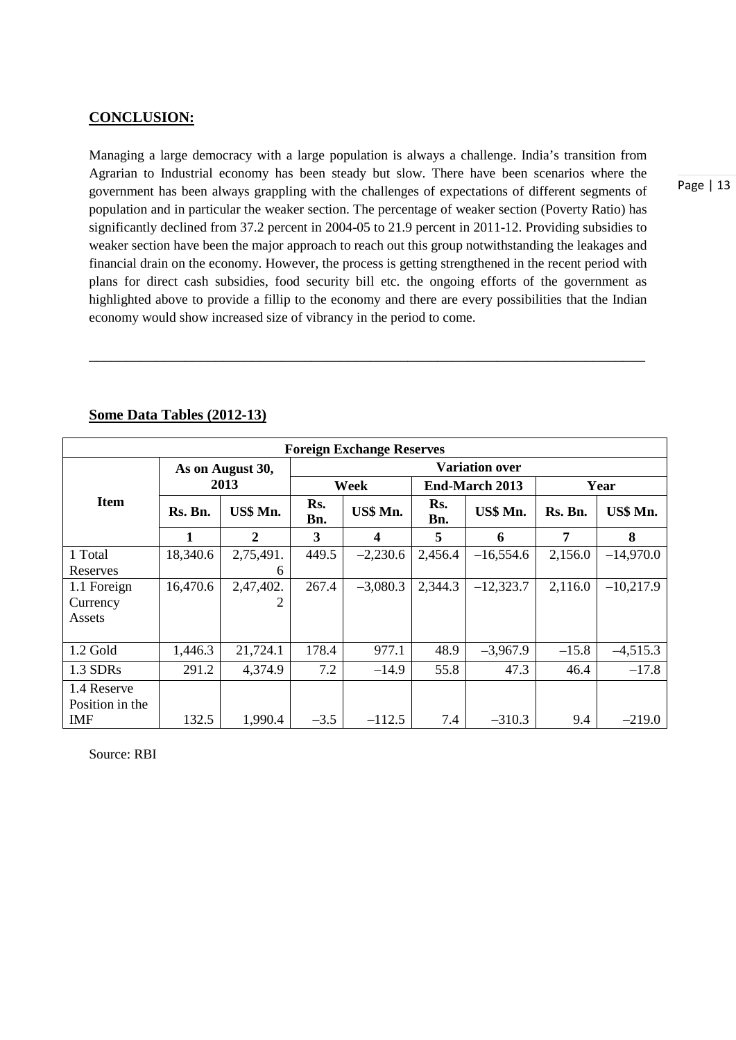#### **CONCLUSION:**

Managing a large democracy with a large population is always a challenge. India's transition from Agrarian to Industrial economy has been steady but slow. There have been scenarios where the government has been always grappling with the challenges of expectations of different segments of population and in particular the weaker section. The percentage of weaker section (Poverty Ratio) has significantly declined from 37.2 percent in 2004-05 to 21.9 percent in 2011-12. Providing subsidies to weaker section have been the major approach to reach out this group notwithstanding the leakages and financial drain on the economy. However, the process is getting strengthened in the recent period with plans for direct cash subsidies, food security bill etc. the ongoing efforts of the government as highlighted above to provide a fillip to the economy and there are every possibilities that the Indian economy would show increased size of vibrancy in the period to come.

\_\_\_\_\_\_\_\_\_\_\_\_\_\_\_\_\_\_\_\_\_\_\_\_\_\_\_\_\_\_\_\_\_\_\_\_\_\_\_\_\_\_\_\_\_\_\_\_\_\_\_\_\_\_\_\_\_\_\_\_\_\_\_\_\_\_\_\_\_\_\_\_\_\_\_

| <b>Foreign Exchange Reserves</b> |          |                  |                       |                         |                       |             |         |             |  |  |  |
|----------------------------------|----------|------------------|-----------------------|-------------------------|-----------------------|-------------|---------|-------------|--|--|--|
|                                  |          | As on August 30, | <b>Variation over</b> |                         |                       |             |         |             |  |  |  |
|                                  | 2013     |                  | Week                  |                         | <b>End-March 2013</b> |             | Year    |             |  |  |  |
| <b>Item</b>                      | Rs. Bn.  | US\$ Mn.         | Rs.<br>Bn.            | US\$ Mn.                | Rs.<br>Bn.            | US\$ Mn.    | Rs. Bn. | US\$ Mn.    |  |  |  |
|                                  |          | 2                | 3                     | $\overline{\mathbf{4}}$ | 5                     | 6           | 7       | 8           |  |  |  |
| 1 Total                          | 18,340.6 | 2,75,491.        | 449.5                 | $-2,230.6$              | 2,456.4               | $-16,554.6$ | 2,156.0 | $-14,970.0$ |  |  |  |
| Reserves                         |          | 6                |                       |                         |                       |             |         |             |  |  |  |
| 1.1 Foreign                      | 16,470.6 | 2,47,402.        | 267.4                 | $-3,080.3$              | 2,344.3               | $-12,323.7$ | 2,116.0 | $-10,217.9$ |  |  |  |
| Currency                         |          | 2                |                       |                         |                       |             |         |             |  |  |  |
| Assets                           |          |                  |                       |                         |                       |             |         |             |  |  |  |
|                                  |          |                  |                       |                         |                       |             |         |             |  |  |  |
| $1.2$ Gold                       | 1,446.3  | 21,724.1         | 178.4                 | 977.1                   | 48.9                  | $-3,967.9$  | $-15.8$ | $-4,515.3$  |  |  |  |
| 1.3 SDRs                         | 291.2    | 4,374.9          | 7.2                   | $-14.9$                 | 55.8                  | 47.3        | 46.4    | $-17.8$     |  |  |  |
| 1.4 Reserve                      |          |                  |                       |                         |                       |             |         |             |  |  |  |
| Position in the                  |          |                  |                       |                         |                       |             |         |             |  |  |  |
| <b>IMF</b>                       | 132.5    | 1,990.4          | $-3.5$                | $-112.5$                | 7.4                   | $-310.3$    | 9.4     | $-219.0$    |  |  |  |

## **Some Data Tables (2012-13)**

Source: RBI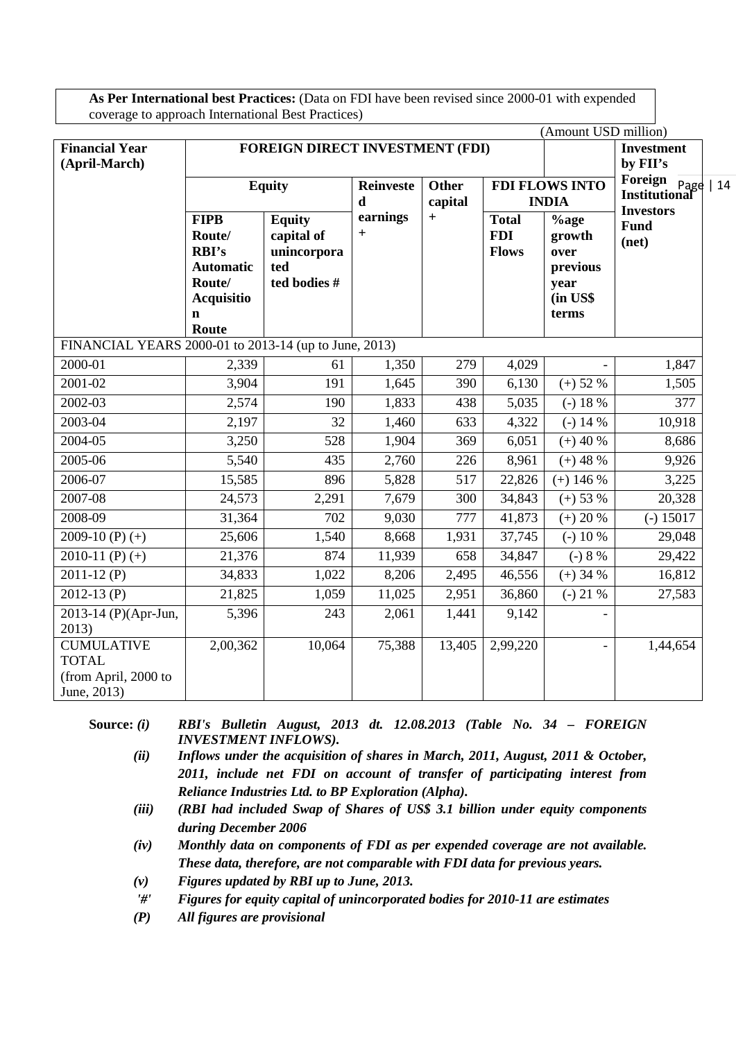**As Per International best Practices:** (Data on FDI have been revised since 2000-01 with expended coverage to approach International Best Practices)

|                                                                          |                                                           |                                                   |                                              |                         |                                            | (Amount USD million)                  |                                          |  |
|--------------------------------------------------------------------------|-----------------------------------------------------------|---------------------------------------------------|----------------------------------------------|-------------------------|--------------------------------------------|---------------------------------------|------------------------------------------|--|
| <b>Financial Year</b>                                                    |                                                           | <b>FOREIGN DIRECT INVESTMENT (FDI)</b>            |                                              |                         |                                            |                                       | <b>Investment</b>                        |  |
| (April-March)                                                            |                                                           |                                                   |                                              |                         |                                            |                                       | by FII's<br>Foreign                      |  |
|                                                                          |                                                           | <b>Equity</b>                                     | <b>Reinveste</b><br>$\mathbf d$              | <b>Other</b><br>capital |                                            | <b>FDI FLOWS INTO</b><br><b>INDIA</b> | Page   14<br>Institutional               |  |
|                                                                          | <b>FIPB</b><br>Route/<br><b>RBI's</b><br><b>Automatic</b> | <b>Equity</b><br>capital of<br>unincorpora<br>ted | earnings<br>$\begin{array}{c} + \end{array}$ | $\qquad \qquad +$       | <b>Total</b><br><b>FDI</b><br><b>Flows</b> | $%$ age<br>growth<br>over<br>previous | <b>Investors</b><br><b>Fund</b><br>(net) |  |
|                                                                          | Route/<br><b>Acquisitio</b><br>$\mathbf n$<br>Route       | ted bodies #                                      |                                              |                         |                                            | year<br>(in US\$<br>terms             |                                          |  |
| FINANCIAL YEARS 2000-01 to 2013-14 (up to June, 2013)                    |                                                           |                                                   |                                              |                         |                                            |                                       |                                          |  |
| 2000-01                                                                  | 2,339                                                     | 61                                                | 1,350                                        | 279                     | 4,029                                      |                                       | 1,847                                    |  |
| 2001-02                                                                  | 3,904                                                     | 191                                               | 1,645                                        | 390                     | 6,130                                      | $(+) 52 %$                            | 1,505                                    |  |
| 2002-03                                                                  | 2,574                                                     | 190                                               | 1,833                                        | 438                     | 5,035                                      | $(-) 18 %$                            | 377                                      |  |
| 2003-04                                                                  | 2,197                                                     | 32                                                | 1,460                                        | 633                     | 4,322                                      | $(-) 14 %$                            | 10,918                                   |  |
| 2004-05                                                                  | 3,250                                                     | 528                                               | 1,904                                        | 369                     | 6,051                                      | $(+)$ 40 %                            | 8,686                                    |  |
| 2005-06                                                                  | 5,540                                                     | 435                                               | 2,760                                        | 226                     | 8,961                                      | $(+)$ 48 %                            | 9,926                                    |  |
| 2006-07                                                                  | 15,585                                                    | 896                                               | 5,828                                        | 517                     | 22,826                                     | $(+)$ 146 %                           | $\overline{3,225}$                       |  |
| 2007-08                                                                  | 24,573                                                    | 2,291                                             | 7,679                                        | 300                     | 34,843                                     | $(+) 53 %$                            | 20,328                                   |  |
| 2008-09                                                                  | 31,364                                                    | 702                                               | 9,030                                        | 777                     | 41,873                                     | $(+) 20 %$                            | $(-) 15017$                              |  |
| 2009-10 $(P)$ $(+)$                                                      | 25,606                                                    | 1,540                                             | 8,668                                        | 1,931                   | 37,745                                     | $(-) 10\sqrt{8}$                      | 29,048                                   |  |
| 2010-11 $(P)$ $(+)$                                                      | 21,376                                                    | 874                                               | 11,939                                       | 658                     | 34,847                                     | $(-) 8 %$                             | 29,422                                   |  |
| $2011-12(P)$                                                             | 34,833                                                    | 1,022                                             | 8,206                                        | 2,495                   | 46,556                                     | $(+)$ 34 %                            | 16,812                                   |  |
| $2012 - 13(P)$                                                           | 21,825                                                    | 1,059                                             | 11,025                                       | 2,951                   | 36,860                                     | $(-)$ 21 %                            | 27,583                                   |  |
| 2013-14 (P)(Apr-Jun,<br>2013)                                            | 5,396                                                     | 243                                               | 2,061                                        | 1,441                   | 9,142                                      |                                       |                                          |  |
| <b>CUMULATIVE</b><br><b>TOTAL</b><br>(from April, 2000 to<br>June, 2013) | 2,00,362                                                  | 10,064                                            | 75,388                                       | 13,405                  | 2,99,220                                   |                                       | 1,44,654                                 |  |

**Source:** *(i) RBI's Bulletin August, 2013 dt. 12.08.2013 (Table No. 34 – FOREIGN INVESTMENT INFLOWS).*

- *(ii) Inflows under the acquisition of shares in March, 2011, August, 2011 & October, 2011, include net FDI on account of transfer of participating interest from Reliance Industries Ltd. to BP Exploration (Alpha).*
- *(iii) (RBI had included Swap of Shares of US\$ 3.1 billion under equity components during December 2006*
- *(iv) Monthly data on components of FDI as per expended coverage are not available. These data, therefore, are not comparable with FDI data for previous years.*
- *(v) Figures updated by RBI up to June, 2013.*
- *'#' Figures for equity capital of unincorporated bodies for 2010-11 are estimates*
- *(P) All figures are provisional*